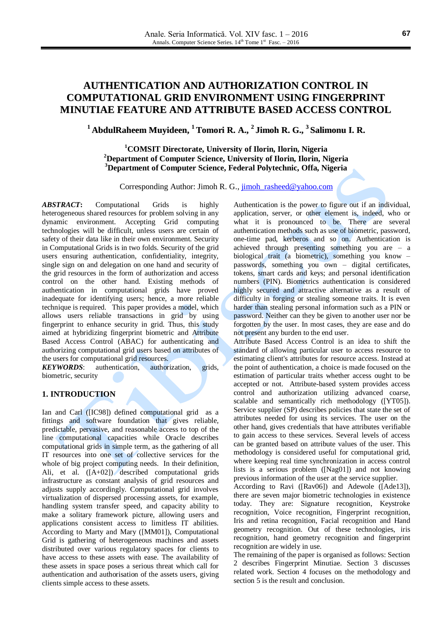## **<sup>1</sup> AbdulRaheem Muyideen, <sup>1</sup> Tomori R. A., 2 Jimoh R. G., 3 Salimonu I. R.**

## **<sup>1</sup>COMSIT Directorate, University of Ilorin, Ilorin, Nigeria <sup>2</sup>Department of Computer Science, University of Ilorin, Ilorin, Nigeria <sup>3</sup>Department of Computer Science, Federal Polytechnic, Offa, Nigeria**

Corresponding Author: Jimoh R. G., [jimoh\\_rasheed@yahoo.com](mailto:jimoh_rasheed@yahoo.com)

*ABSTRACT***:** Computational Grids is highly heterogeneous shared resources for problem solving in any dynamic environment. Accepting Grid computing technologies will be difficult, unless users are certain of safety of their data like in their own environment. Security in Computational Grids is in two folds. Security of the grid users ensuring authentication, confidentiality, integrity, single sign on and delegation on one hand and security of the grid resources in the form of authorization and access control on the other hand. Existing methods of authentication in computational grids have proved inadequate for identifying users; hence, a more reliable technique is required. This paper provides a model, which allows users reliable transactions in grid by using fingerprint to enhance security in grid. Thus, this study aimed at hybridizing fingerprint biometric and Attribute Based Access Control (ABAC) for authenticating and authorizing computational grid users based on attributes of the users for computational grid resources.

*KEYWORDS*: authentication, authorization, grids, biometric, security

## **1. INTRODUCTION**

Ian and Carl ([IC98]) defined computational grid as a fittings and software foundation that gives reliable, predictable, pervasive, and reasonable access to top of the line computational capacities while Oracle describes computational grids in simple term, as the gathering of all IT resources into one set of collective services for the whole of big project computing needs. In their definition, Ali, et al. ([A+02]) described computational grids infrastructure as constant analysis of grid resources and adjusts supply accordingly. Computational grid involves virtualization of dispersed processing assets, for example, handling system transfer speed, and capacity ability to make a solitary framework picture, allowing users and applications consistent access to limitless IT abilities. According to Marty and Mary ([MM01]), Computational Grid is gathering of heterogeneous machines and assets distributed over various regulatory spaces for clients to have access to these assets with ease. The availability of these assets in space poses a serious threat which call for authentication and authorisation of the assets users, giving clients simple access to these assets.

Authentication is the power to figure out if an individual, application, server, or other element is, indeed, who or what it is pronounced to be. There are several authentication methods such as use of biometric, password, one-time pad, kerberos and so on. Authentication is achieved through presenting something you are – a biological trait (a biometric), something you know – passwords, something you own – digital certificates, tokens, smart cards and keys; and personal identification numbers (PIN). Biometrics authentication is considered highly secured and attractive alternative as a result of difficulty in forging or stealing someone traits. It is even harder than stealing personal information such as a PIN or password. Neither can they be given to another user nor be forgotten by the user. In most cases, they are ease and do not present any burden to the end user.

Attribute Based Access Control is an idea to shift the standard of allowing particular user to access resource to estimating client's attributes for resource access. Instead at the point of authentication, a choice is made focused on the estimation of particular traits whether access ought to be accepted or not. Attribute-based system provides access control and authorization utilizing advanced coarse, scalable and semantically rich methodology ([YT05]). Service supplier (SP) describes policies that state the set of attributes needed for using its services. The user on the other hand, gives credentials that have attributes verifiable to gain access to these services. Several levels of access can be granted based on attribute values of the user. This methodology is considered useful for computational grid, where keeping real time synchronization in access control lists is a serious problem ([Nag01]) and not knowing previous information of the user at the service supplier.

According to Ravi ([Rav06]) and Adewole ([Ade13]), there are seven major biometric technologies in existence today. They are: Signature recognition, Keystroke recognition, Voice recognition, Fingerprint recognition, Iris and retina recognition, Facial recognition and Hand geometry recognition. Out of these technologies, iris recognition, hand geometry recognition and fingerprint recognition are widely in use.

The remaining of the paper is organised as follows: Section 2 describes Fingerprint Minutiae. Section 3 discusses related work. Section 4 focuses on the methodology and section 5 is the result and conclusion.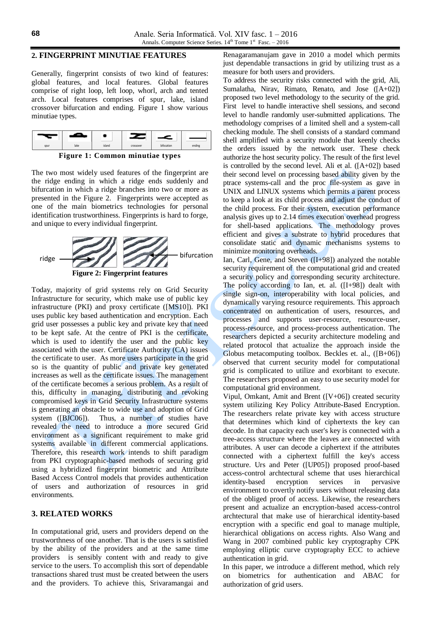## **2. FINGERPRINT MINUTIAE FEATURES**

Generally, fingerprint consists of two kind of features: global features, and local features. Global features comprise of right loop, left loop, whorl, arch and tented arch. Local features comprises of spur, lake, island crossover bifurcation and ending. Figure 1 show various minutiae types.



**Figure 1: Common minutiae types**

The two most widely used features of the fingerprint are the ridge ending in which a ridge ends suddenly and bifurcation in which a ridge branches into two or more as presented in the Figure 2. Fingerprints were accepted as one of the main biometrics technologies for personal identification trustworthiness. Fingerprints is hard to forge, and unique to every individual fingerprint.



Today, majority of grid systems rely on Grid Security Infrastructure for security, which make use of public key infrastructure (PKI) and proxy certificate ([MS10]). PKI uses public key based authentication and encryption. Each grid user possesses a public key and private key that need to be kept safe. At the centre of PKI is the certificate, which is used to identify the user and the public key associated with the user. Certificate Authority (CA) issues the certificate to user. As more users participate in the grid so is the quantity of public and private key generated increases as well as the certificate issues. The management of the certificate becomes a serious problem. As a result of this, difficulty in managing, distributing and revoking compromised keys in Grid Security Infrastructure systems is generating an obstacle to wide use and adoption of Grid system ([BJC06]). Thus, a number of studies have revealed the need to introduce a more secured Grid environment as a significant requirement to make grid systems available in different commercial applications. Therefore, this research work intends to shift paradigm from PKI cryptographic-based methods of securing grid using a hybridized fingerprint biometric and Attribute Based Access Control models that provides authentication of users and authorization of resources in grid environments.

## **3. RELATED WORKS**

In computational grid, users and providers depend on the trustworthness of one another. That is the users is satisfied by the ability of the providers and at the same time providers is sensibly content with and ready to give service to the users. To accomplish this sort of dependable transactions shared trust must be created between the users and the providers. To achieve this, Srivaramangai and

Renagaramanujam gave in 2010 a model which permits just dependable transactions in grid by utilizing trust as a measure for both users and providers.

To address the security risks connected with the grid, Ali, Sumalatha, Nirav, Rimato, Renato, and Jose ([A+02]) proposed two level methodology to the security of the grid. First level to handle interactive shell sessions, and second level to handle randomly user-submitted applications. The methodology comprises of a limited shell and a system-call checking module. The shell consists of a standard command shell amplified with a security module that keenly checks the orders issued by the network user. These check authorize the host security policy. The result of the first level is controlled by the second level. Ali et al. ([A+02]) based their second level on processing based ability given by the ptrace systems-call and the proc file-system as gave in UNIX and LINUX systems which permits a parent process to keep a look at its child process and adjust the conduct of the child process. For their system, execution performance analysis gives up to 2.14 times execution overhead progress for shell-based applications. The methodology proves efficient and gives a substrate to hybrid procedures that consolidate static and dynamic mechanisms systems to minimize monitoring overheads.

Ian, Carl, Gene, and Steven ([I+98]) analyzed the notable security requirement of the computational grid and created a security policy and corresponding security architecture. The policy according to Ian, et. al. ([I+98]) dealt with single sign-on, interoperability with local policies, and dynamically varying resource requirements. This approach concentrated on authentication of users, resources, and processes and supports user-resource, resource-user, process-resource, and process-process authentication. The researchers depicted a security architecture modeling and related protocol that actualize the approach inside the Globus metacomputing toolbox. Beckles et. al., ([B+06]) observed that current security model for computational grid is complicated to utilize and exorbitant to execute. The researchers proposed an easy to use security model for computational grid environment.

Vipul, Omkant, Amit and Brent ([V+06]) created security system utilizing Key Policy Attribute-Based Encryption. The researchers relate private key with access structure that determines which kind of ciphertexts the key can decode. In that capacity each user's key is connected with a tree-access structure where the leaves are connected with attributes. A user can decode a ciphertext if the attributes connected with a ciphertext fulfill the key's access structure. Urs and Peter ([UP05]) proposed proof-based access-control archtectural scheme that uses hierarchical identity-based encryption services in pervasive environment to covertly notify users without releasing data of the obliged proof of access. Likewise, the researchers present and actualize an encryption-based access-control archtectural that make use of hierarchical identity-based encryption with a specific end goal to manage multiple, hierarchical obligations on access rights. Also Wang and Wang in 2007 combined public key cryptography CPK employing elliptic curve cryptography ECC to achieve authentication in grid.

In this paper, we introduce a different method, which rely on biometrics for authentication and ABAC for authorization of grid users.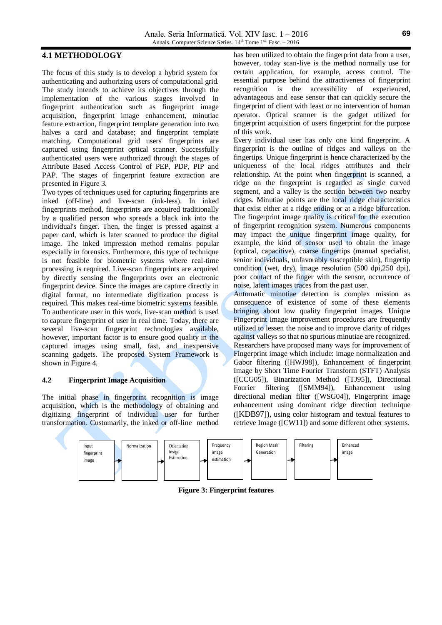## **4.1 METHODOLOGY**

The focus of this study is to develop a hybrid system for authenticating and authorizing users of computational grid. The study intends to achieve its objectives through the implementation of the various stages involved in fingerprint authentication such as fingerprint image acquisition, fingerprint image enhancement, minutiae feature extraction, fingerprint template generation into two halves a card and database; and fingerprint template matching. Computational grid users' fingerprints are captured using fingerprint optical scanner. Successfully authenticated users were authorized through the stages of Attribute Based Access Control of PEP, PDP, PIP and PAP. The stages of fingerprint feature extraction are presented in Figure 3.

Two types of techniques used for capturing fingerprints are inked (off-line) and live-scan (ink-less). In inked fingerprints method, fingerprints are acquired traditionally by a qualified person who spreads a black ink into the individual's finger. Then, the finger is pressed against a paper card, which is later scanned to produce the digital image. The inked impression method remains popular especially in forensics. Furthermore, this type of technique is not feasible for biometric systems where real-time processing is required. Live-scan fingerprints are acquired by directly sensing the fingerprints over an electronic fingerprint device. Since the images are capture directly in digital format, no intermediate digitization process is required. This makes real-time biometric systems feasible. To authenticate user in this work, live-scan method is used to capture fingerprint of user in real time. Today, there are several live-scan fingerprint technologies available, however, important factor is to ensure good quality in the captured images using small, fast, and inexpensive scanning gadgets. The proposed System Framework is shown in Figure 4.

## **4.2 Fingerprint Image Acquisition**

The initial phase in fingerprint recognition is image acquisition, which is the methodology of obtaining and digitizing fingerprint of individual user for further transformation. Customarily, the inked or off-line method has been utilized to obtain the fingerprint data from a user, however, today scan-live is the method normally use for certain application, for example, access control. The essential purpose behind the attractiveness of fingerprint recognition is the accessibility of experienced, advantageous and ease sensor that can quickly secure the fingerprint of client with least or no intervention of human operator. Optical scanner is the gadget utilized for fingerprint acquisition of users fingerprint for the purpose of this work.

Every individual user has only one kind fingerprint. A fingerprint is the outline of ridges and valleys on the fingertips. Unique fingerprint is hence characterized by the uniqueness of the local ridges attributes and their relationship. At the point when fingerprint is scanned, a ridge on the fingerprint is regarded as single curved segment, and a valley is the section between two nearby ridges. Minutiae points are the local ridge characteristics that exist either at a ridge ending or at a ridge bifurcation. The fingerprint image quality is critical for the execution of fingerprint recognition system. Numerous components may impact the unique fingerprint image quality, for example, the kind of sensor used to obtain the image (optical, capacitive), coarse fingertips (manual specialist, senior individuals, unfavorably susceptible skin), fingertip condition (wet, dry), image resolution (500 dpi,250 dpi), poor contact of the finger with the sensor, occurrence of noise, latent images traces from the past user.

Automatic minutiae detection is complex mission as consequence of existence of some of these elements bringing about low quality fingerprint images. Unique Fingerprint image improvement procedures are frequently utilized to lessen the noise and to improve clarity of ridges against valleys so that no spurious minutiae are recognized. Researchers have proposed many ways for improvement of Fingerprint image which include: image normalization and Gabor filtering ([HWJ98]), Enhancement of fingerprint Image by Short Time Fourier Transform (STFT) Analysis ([CCG05]), Binarization Method ([TJ95]), Directional Fourier filtering ([SMM94]), Enhancement using directional median filter ([WSG04]), Fingerprint image enhancement using dominant ridge direction technique ([KDB97]), using color histogram and textual features to retrieve Image ([CW11]) and some different other systems.



**Figure 3: Fingerprint features**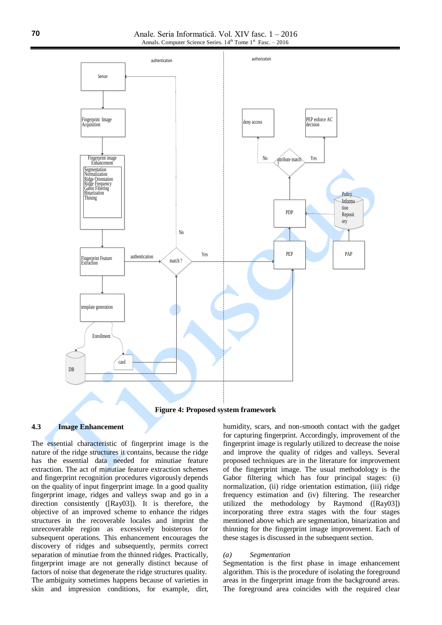

**Figure 4: Proposed system framework**

## **4.3 Image Enhancement**

The essential characteristic of fingerprint image is the nature of the ridge structures it contains, because the ridge has the essential data needed for minutiae feature extraction. The act of minutiae feature extraction schemes and fingerprint recognition procedures vigorously depends on the quality of input fingerprint image. In a good quality fingerprint image, ridges and valleys swap and go in a direction consistently ([Ray03]). It is therefore, the objective of an improved scheme to enhance the ridges structures in the recoverable locales and imprint the unrecoverable region as excessively boisterous for subsequent operations. This enhancement encourages the discovery of ridges and subsequently, permits correct separation of minutiae from the thinned ridges. Practically, fingerprint image are not generally distinct because of factors of noise that degenerate the ridge structures quality. The ambiguity sometimes happens because of varieties in skin and impression conditions, for example, dirt, humidity, scars, and non-smooth contact with the gadget for capturing fingerprint. Accordingly, improvement of the fingerprint image is regularly utilized to decrease the noise and improve the quality of ridges and valleys. Several proposed techniques are in the literature for improvement of the fingerprint image. The usual methodology is the Gabor filtering which has four principal stages: (i) normalization, (ii) ridge orientation estimation, (iii) ridge frequency estimation and (iv) filtering. The researcher utilized the methodology by Raymond ([Ray03]) incorporating three extra stages with the four stages mentioned above which are segmentation, binarization and thinning for the fingerprint image improvement. Each of these stages is discussed in the subsequent section.

#### *(a) Segmentation*

Segmentation is the first phase in image enhancement algorithm. This is the procedure of isolating the foreground areas in the fingerprint image from the background areas. The foreground area coincides with the required clear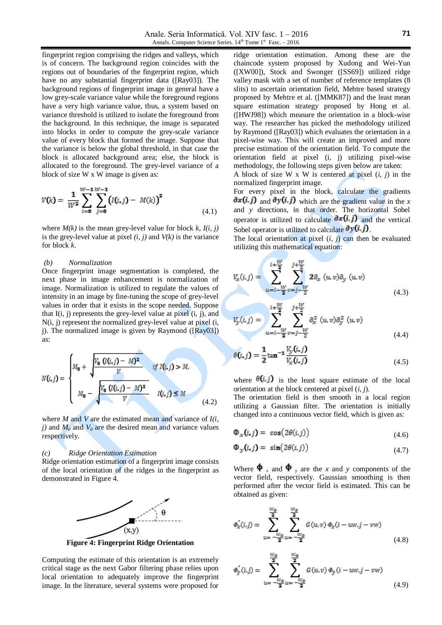fingerprint region comprising the ridges and valleys, which is of concern. The background region coincides with the regions out of boundaries of the fingerprint region, which have no any substantial fingerprint data ([Ray03]). The background regions of fingerprint image in general have a low grey-scale variance value while the foreground regions have a very high variance value, thus, a system based on variance threshold is utilized to isolate the foreground from the background. In this technique, the image is separated into blocks in order to compute the grey-scale variance value of every block that formed the image. Suppose that the variance is below the global threshold, in that case the block is allocated background area; else, the block is allocated to the foreground. The grey-level variance of a block of size W x W image is given as:

$$
V(k) = \frac{1}{W^2} \sum_{i=0}^{W-1} \sum_{j=0}^{W-1} (I(i,j) - M(k))^2
$$
\n(4.1)

where  $M(k)$  is the mean grey-level value for block  $k$ ,  $I(i, j)$ is the grey-level value at pixel  $(i, j)$  and  $V(k)$  is the variance for block *k*.

## *(b) Normalization*

Once fingerprint image segmentation is completed, the next phase in image enhancement is normalization of image. Normalization is utilized to regulate the values of intensity in an image by fine-tuning the scope of grey-level values in order that it exists in the scope needed. Suppose that  $I(i, j)$  represents the grey-level value at pixel  $(i, j)$ , and N(i, j) represent the normalized grey-level value at pixel (i, j). The normalized image is given by Raymond  $([Ray03])$ as:

$$
N(i,j) = \begin{cases} M_0 + \sqrt{\frac{V_0 (U(i,j) - M)^2}{V}} & \text{if } I(i,j) > M, \\ M_0 - \sqrt{\frac{V_0 (U(i,j) - M)^2}{V}} & I(i,j) \le M \end{cases} \tag{4.2}
$$

where *M* and *V* are the estimated mean and variance of *I(i, j*) and  $M_0$  and  $V_0$  are the desired mean and variance values respectively.

#### *(c) Ridge Orientation Estimation*

Ridge orientation estimation of a fingerprint image consists of the local orientation of the ridges in the fingerprint as demonstrated in Figure 4.



**Figure 4: Fingerprint Ridge Orientation**

Computing the estimate of this orientation is an extremely critical stage as the next Gabor filtering phase relies upon local orientation to adequately improve the fingerprint image. In the literature, several systems were proposed for ridge orientation estimation. Among these are the chaincode system proposed by Xudong and Wei-Yun ([XW00]), Stock and Swonger ([SS69]) utilized ridge valley mask with a set of number of reference templates (8 slits) to ascertain orientation field, Mehtre based strategy proposed by Mehtre et al. ([MMK87]) and the least mean square estimation strategy proposed by Hong et al. ([HWJ98]) which measure the orientation in a block-wise way. The researcher has picked the methodology utilized by Raymond ([Ray03]) which evaluates the orientation in a pixel-wise way. This will create an improved and more precise estimation of the orientation field. To compute the orientation field at pixel (i, j) utilizing pixel-wise methodology, the following steps given below are taken:

A block of size W x W is centered at pixel (*i, j*) in the normalized fingerprint image.

For every pixel in the block, calculate the gradients  $\partial x(i, j)$  and  $\partial y(i, j)$  which are the gradient value in the *x* and *y* directions, in that order. The horizontal Sobel operator is utilized to calculate  $\partial x(i, j)$  and the vertical Sobel operator is utilized to calculate  $\partial y(i, j)$ .

The local orientation at pixel  $(i, j)$  can then be evaluated utilizing this mathematical equation:

$$
V_x(i,j) = \sum_{u=i-\frac{W}{2}v=j-\frac{W}{2}}^{i+\frac{W}{2}} 2\partial_x(u,v)\partial_y(u,v)
$$
(4.3)

$$
V_{y}(i,j) = \sum_{u=i-\frac{W}{2}}^{i+\frac{1}{2}} \sum_{v=j-\frac{W}{2}}^{j+\frac{1}{2}} \partial_{x}^{2} (u,v) \partial_{y}^{2} (u,v) \qquad (4.4)
$$

$$
\theta(i,j) = \frac{1}{2} \tan^{-1} \frac{V_y(i,j)}{V_x(i,j)}
$$
(4.5)

where  $\theta(i, j)$  is the least square estimate of the local orientation at the block centered at pixel (*i, j*).

The orientation field is then smooth in a local region utilizing a Gaussian filter. The orientation is initially changed into a continuous vector field, which is given as:

$$
\Phi_x(i,j) = \cos(2\theta(i,j)) \tag{4.6}
$$

$$
\Phi_y(i,j) = \sin(2\theta(i,j)) \tag{4.7}
$$

Where  $\oint x$  and  $\oint y$  are the *x* and *y* components of the vector field, respectively. Gaussian smoothing is then performed after the vector field is estimated. This can be obtained as given:

$$
\phi'_x(i,j) = \sum_{u = -\frac{w_{\phi}}{2}}^{\frac{w_{\phi}}{2}} \sum_{u = -\frac{w_{\phi}}{2}}^{\frac{w_{\phi}}{2}} G(u,v) \phi_x(i - uw, j - vw)
$$
\n(4.8)

$$
\phi'_{y}(i,j) = \sum_{u=-\frac{w_{\phi}}{2}}^{\frac{w_{\phi}}{2}} \sum_{u=-\frac{w_{\phi}}{2}}^{\frac{w_{\phi}}{2}} G(u,v) \phi_{y}(i - uw, j - vw)
$$
\n(4.9)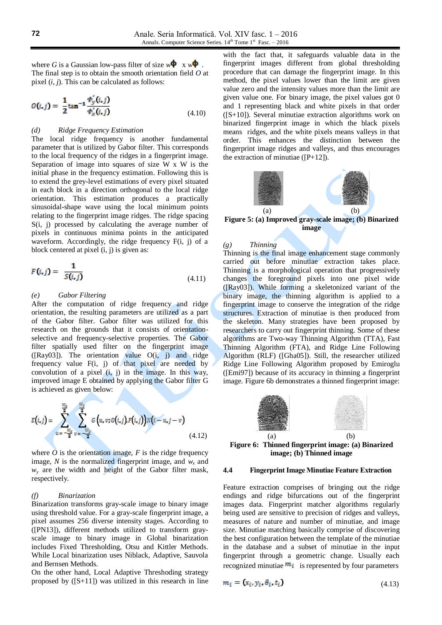where *G* is a Gaussian low-pass filter of size  $w \Phi$  x  $w \Phi$ . The final step is to obtain the smooth orientation field *O* at pixel (*i, j*). This can be calculated as follows:

$$
O(i, j) = \frac{1}{2} \tan^{-1} \frac{\phi'_y(i, j)}{\phi'_x(i, j)}
$$
(4.10)

#### *(d) Ridge Frequency Estimation*

The local ridge frequency is another fundamental parameter that is utilized by Gabor filter. This corresponds to the local frequency of the ridges in a fingerprint image. Separation of image into squares of size W x W is the initial phase in the frequency estimation. Following this is to extend the grey-level estimations of every pixel situated in each block in a direction orthogonal to the local ridge orientation. This estimation produces a practically sinusoidal-shape wave using the local minimum points relating to the fingerprint image ridges. The ridge spacing S(i, j) processed by calculating the average number of pixels in continuous minima points in the anticipated waveform. Accordingly, the ridge frequency F(i, j) of a block centered at pixel (i, j) is given as:

$$
F(i,j) = \frac{1}{S(i,j)} \tag{4.11}
$$

#### *(e) Gabor Filtering*

After the computation of ridge frequency and ridge orientation, the resulting parameters are utilized as a part of the Gabor filter. Gabor filter was utilized for this research on the grounds that it consists of orientationselective and frequency-selective properties. The Gabor filter spatially used filter on the fingerprint image  $([Ray03])$ . The orientation value  $O(i, j)$  and ridge frequency value  $F(i, j)$  of that pixel are needed by convolution of a pixel  $(i, j)$  in the image. In this way, improved image E obtained by applying the Gabor filter G is achieved as given below:

$$
E(i,j) = \sum_{u = -\frac{w_x}{2}}^{\frac{w_x}{2}} \sum_{v = -\frac{w_y}{2}}^{\frac{w_y}{2}} G\left(u, v; O(i,j) F(i,j)\right) N(i - u, j - v) \tag{4.12}
$$

where  $\overline{O}$  is the orientation image,  $F$  is the ridge frequency image, *N* is the normalized fingerprint image, and  $w<sub>x</sub>$  and  $w<sub>y</sub>$  are the width and height of the Gabor filter mask, respectively.

#### *(f) Binarization*

Binarization transforms gray-scale image to binary image using threshold value. For a gray-scale fingerprint image, a pixel assumes 256 diverse intensity stages. According to ([PN13]), different methods utilized to transform grayscale image to binary image in Global binarization includes Fixed Thresholding, Otsu and Kittler Methods. While Local binarization uses Niblack, Adaptive, Sauvola and Bernsen Methods.

On the other hand, Local Adaptive Threshoding strategy proposed by ([S+11]) was utilized in this research in line

with the fact that, it safeguards valuable data in the fingerprint images different from global thresholding procedure that can damage the fingerprint image. In this method, the pixel values lower than the limit are given value zero and the intensity values more than the limit are given value one. For binary image, the pixel values got 0 and 1 representing black and white pixels in that order  $([S+10])$ . Several minutiae extraction algorithms work on binarized fingerprint image in which the black pixels means ridges, and the white pixels means valleys in that order. This enhances the distinction between the fingerprint image ridges and valleys, and thus encourages the extraction of minutiae  $([P+12])$ .



# **image**

#### *(g) Thinning*

Thinning is the final image enhancement stage commonly carried out before minutiae extraction takes place. Thinning is a morphological operation that progressively changes the foreground pixels into one pixel wide ([Ray03]). While forming a skeletonized variant of the binary image, the thinning algorithm is applied to a fingerprint image to conserve the integration of the ridge structures. Extraction of minutiae is then produced from the skeleton. Many strategies have been proposed by researchers to carry out fingerprint thinning. Some of these algorithms are Two-way Thinning Algorithm (TTA), Fast Thinning Algorithm (FTA), and Ridge Line Following Algorithm (RLF) ([Gha05]). Still, the researcher utilized Ridge Line Following Algorithm proposed by Emiroglu ([Emi97]) because of its accuracy in thinning a fingerprint image. Figure 6b demonstrates a thinned fingerprint image:



**Figure 6: Thinned fingerprint image: (a) Binarized image; (b) Thinned image**

#### **4.4 Fingerprint Image Minutiae Feature Extraction**

Feature extraction comprises of bringing out the ridge endings and ridge bifurcations out of the fingerprint images data. Fingerprint matcher algorithms regularly being used are sensitive to precision of ridges and valleys, measures of nature and number of minutiae, and image size. Minutiae matching basically comprise of discovering the best configuration between the template of the minutiae in the database and a subset of minutiae in the input fingerprint through a geometric change. Usually each recognized minutiae  $m_i$  is represented by four parameters

$$
m_i = (x_i, y_i, \theta_i, t_i) \tag{4.13}
$$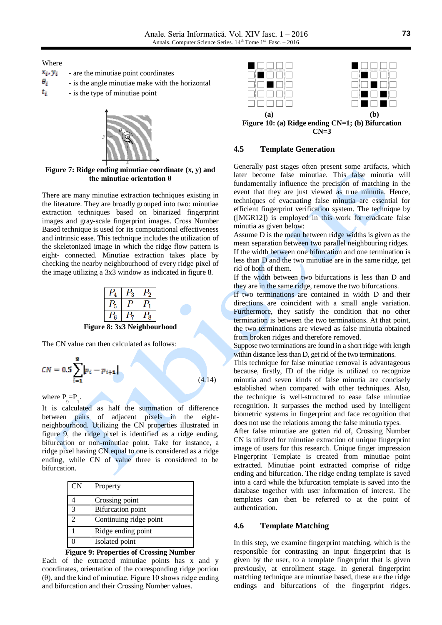Where

| $x_i, y_i$ | - are the minutiae point coordinates             |
|------------|--------------------------------------------------|
| θ,         | - is the angle minutiae make with the horizontal |
| t,         | - is the type of minutiae point                  |



**Figure 7: Ridge ending minutiae coordinate (x, y) and the minutiae orientation θ**

There are many minutiae extraction techniques existing in the literature. They are broadly grouped into two: minutiae extraction techniques based on binarized fingerprint images and gray-scale fingerprint images. Cross Number Based technique is used for its computational effectiveness and intrinsic ease. This technique includes the utilization of the skeletonized image in which the ridge flow pattern is eight- connected. Minutiae extraction takes place by checking the nearby neighbourhood of every ridge pixel of the image utilizing a 3x3 window as indicated in figure 8.

| ዳ |  |  |
|---|--|--|

**Figure 8: 3x3 Neighbourhood**

The CN value can then calculated as follows:

$$
CN = 0.5\sum_{i=1}^{8} |p_i - p_{i+1}| \tag{4.14}
$$

where  $P_9 = P_1$ .

It is calculated as half the summation of difference between pairs of adjacent pixels in the eightneighbourhood. Utilizing the CN properties illustrated in figure 9, the ridge pixel is identified as a ridge ending, bifurcation or non-minutiae point. Take for instance, a ridge pixel having CN equal to one is considered as a ridge ending, while CN of value three is considered to be bifurcation.

| <b>CN</b> | Property                 |
|-----------|--------------------------|
|           | Crossing point           |
|           | <b>Bifurcation</b> point |
|           | Continuing ridge point   |
|           | Ridge ending point       |
|           | Isolated point           |

**Figure 9: Properties of Crossing Number**

Each of the extracted minutiae points has x and y coordinates, orientation of the corresponding ridge portion  $(θ)$ , and the kind of minutiae. Figure 10 shows ridge ending and bifurcation and their Crossing Number values.



**CN=3**

## **4.5 Template Generation**

Generally past stages often present some artifacts, which later become false minutiae. This false minutia will fundamentally influence the precision of matching in the event that they are just viewed as true minutia. Hence, techniques of evacuating false minutia are essential for efficient fingerprint verification system. The technique by ([MGR12]) is employed in this work for eradicate false minutia as given below:

Assume D is the mean between ridge widths is given as the mean separation between two parallel neighbouring ridges. If the width between one bifurcation and one termination is less than D and the two minutiae are in the same ridge, get rid of both of them.

If the width between two bifurcations is less than D and they are in the same ridge, remove the two bifurcations.

If two terminations are contained in width D and their directions are coincident with a small angle variation. Furthermore, they satisfy the condition that no other termination is between the two terminations. At that point, the two terminations are viewed as false minutia obtained from broken ridges and therefore removed.

Suppose two terminations are found in a short ridge with length within distance less than D, get rid of the two terminations.

This technique for false minutiae removal is advantageous because, firstly, ID of the ridge is utilized to recognize minutia and seven kinds of false minutia are concisely established when compared with other techniques. Also, the technique is well-structured to ease false minutiae recognition. It surpasses the method used by Intelligent biometric systems in fingerprint and face recognition that does not use the relations among the false minutia types.

After false minutiae are gotten rid of, Crossing Number CN is utilized for minutiae extraction of unique fingerprint image of users for this research. Unique finger impression Fingerprint Template is created from minutiae point extracted. Minutiae point extracted comprise of ridge ending and bifurcation. The ridge ending template is saved into a card while the bifurcation template is saved into the database together with user information of interest. The templates can then be referred to at the point of authentication.

#### **4.6 Template Matching**

In this step, we examine fingerprint matching, which is the responsible for contrasting an input fingerprint that is given by the user, to a template fingerprint that is given previously, at enrollment stage. In general fingerprint matching technique are minutiae based, these are the ridge endings and bifurcations of the fingerprint ridges.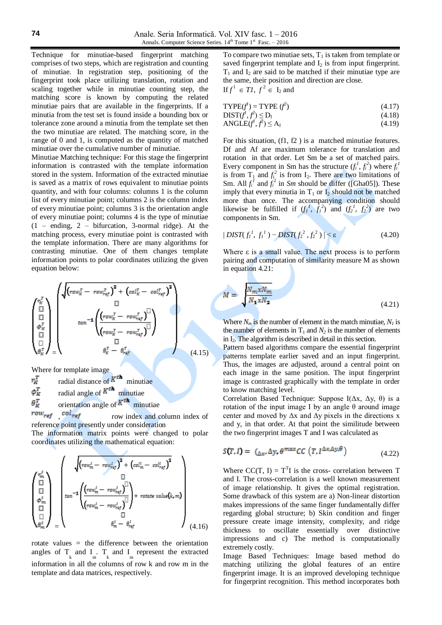Technique for minutiae-based fingerprint matching comprises of two steps, which are registration and counting of minutiae. In registration step, positioning of the fingerprint took place utilizing translation, rotation and scaling together while in minutiae counting step, the matching score is known by computing the related minutiae pairs that are available in the fingerprints. If a minutia from the test set is found inside a bounding box or tolerance zone around a minutia from the template set then the two minutiae are related. The matching score, in the range of 0 and 1, is computed as the quantity of matched minutiae over the cumulative number of minutiae.

Minutiae Matching technique: For this stage the fingerprint information is contrasted with the template information stored in the system. Information of the extracted minutiae is saved as a matrix of rows equivalent to minutiae points quantity, and with four columns: columns 1 is the column list of every minutiae point; columns 2 is the column index of every minutiae point; columns 3 is the orientation angle of every minutiae point; columns 4 is the type of minutiae  $(1 - ending, 2 - bifurcation, 3-normal ridge)$ . At the matching process, every minutiae point is contrasted with the template information. There are many algorithms for contrasting minutiae. One of them changes template information points to polar coordinates utilizing the given equation below:

$$
\begin{pmatrix}\n\eta_K^T \\
\frac{\Pi}{\Pi} \\
\frac{\sigma_K^T}{\Pi} \\
\frac{\sigma_K^T}{\Pi}\n\end{pmatrix}\n\begin{pmatrix}\n\sqrt{(row_K^T - row_{ref}^T)^2 + (col_K^T - col_{ref}^T)^2} \\
\frac{\Pi}{\Pi} \\
tan^{-1}\left(\frac{(row_K^T - row_{ref}^T)^{\Pi}}{(row_K^T - row_{ref}^T)^{\Pi}}\right) \\
\frac{\Pi}{\Pi} \\
\frac{\Pi}{\sigma_K^T} \\
\frac{\sigma_K^T - \theta_{ref}^T}{\sigma_K^T}\n\end{pmatrix}
$$
\n(4.15)

Where for template image

radial distance of  $K^{th}$  minutiae  $r_K^T$ radial angle of  $K^{th}$  minutiae  $\phi_R^T$ orientation angle of  $K^{th}$  minutiae  $\theta_k^T$ 

 $row_{ref}$ ,  $col_{ref}$  row index and column index of reference point presently under consideration

The information matrix points were changed to polar coordinates utilizing the mathematical equation:

$$
\begin{pmatrix}\nr_m^l \\
\frac{\overline{11}}{\overline{11}} \\
\phi_m^l \\
\vdots \\
\theta_m^l\n\end{pmatrix}\n\begin{pmatrix}\n\sqrt{(row_m^l - row_{ref}^l)^2 + (col_m^l - col_{ref}^l)^2} \\
\tan^{-1}\left(\frac{(row_m^l - row_{ref}^l)^{\overline{11}}}{(row_m^l - row_{ref}^l)^{\overline{11}}}\right) + \text{rotate value}(k, m) \\
\vdots \\
\theta_m^l - \theta_m^l - \theta_m^l\n\end{pmatrix}\n\tag{4.16}
$$

rotate values = the difference between the orientation angles of  $T_{k}$  and  $T_{m}$ .  $T_{k}$  and  $T_{m}$  represent the extracted information in all the columns of row k and row m in the template and data matrices, respectively.

To compare two minutiae sets,  $T_1$  is taken from template or saved fingerprint template and  $I_2$  is from input fingerprint.  $T_1$  and  $I_2$  are said to be matched if their minutiae type are the same, their position and direction are close. If  $f^1 \in TI$ ,  $f^2 \in I_2$  and

$$
TYPE(f') = TYPE (f^{2})
$$
 (4.17)

$$
DIST(f^t, f^2) \le D_f \tag{4.18}
$$

$$
ANGLE(f^f, f^2) \le A_f \tag{4.19}
$$

For this situation, (f1, f2 ) is a matched minutiae features. Df and Af are maximum tolerance for translation and rotation in that order. Let Sm be a set of matched pairs. Every component in Sm has the structure  $(f_i^1, f_i^2)$  where  $f_i^1$ is from  $T_1$  and  $f_i^2$  is from  $I_2$ . There are two limitations of Sm. All  $f_i^1$  and  $f_i^2$  in *Sm* should be differ ([Gha05]). These imply that every minutia in  $T_1$  or  $I_2$  should not be matched more than once. The accompanying condition should likewise be fulfilled if  $(f_1^1, f_1^2)$  and  $(f_2^1, f_2^2)$  are two components in Sm.

$$
|DIST(f_1^1, f_1^1) - DIST(f_2^2, f_2^2)| < \varepsilon
$$
 (4.20)

Where  $\varepsilon$  is a small value. The next process is to perform pairing and computation of similarity measure M as shown in equation 4.21:

$$
M = \sqrt{\frac{N_m x N_m}{N_1 x N_2}}
$$
(4.21)

Where  $N_m$  is the number of element in the match minutiae,  $N_l$  is the number of elements in  $T_1$  and  $N_2$  is the number of elements in I<sub>2</sub>. The algorithm is described in detail in this section.

Pattern based algorithms compare the essential fingerprint patterns template earlier saved and an input fingerprint. Thus, the images are adjusted, around a central point on each image in the same position. The input fingerprint image is contrasted graphically with the template in order to know matching level.

Correlation Based Technique: Suppose I(Δx, Δy, θ) is a rotation of the input image I by an angle θ around image center and moved by  $\Delta x$  and  $\Delta y$  pixels in the directions x and y, in that order. At that point the similitude between the two fingerprint images T and I was calculated as

$$
S(T, I) = \left( \Delta_X, \Delta_Y, \theta^{max} CC \left( T, I^{\Delta_X, \Delta_Y, \theta} \right) \right) \tag{4.22}
$$

Where  $CC(T, I) = T^{T}I$  is the cross- correlation between T and I. The cross-correlation is a well known measurement of image relationship. It gives the optimal registration. Some drawback of this system are a) Non-linear distortion makes impressions of the same finger fundamentally differ regarding global structure; b) Skin condition and finger pressure create image intensity, complexity, and ridge thickness to oscillate essentially over distinctive impressions and c) The method is computationally extremely costly.

Image Based Techniques: Image based method do matching utilizing the global features of an entire fingerprint image. It is an improved developing technique for fingerprint recognition. This method incorporates both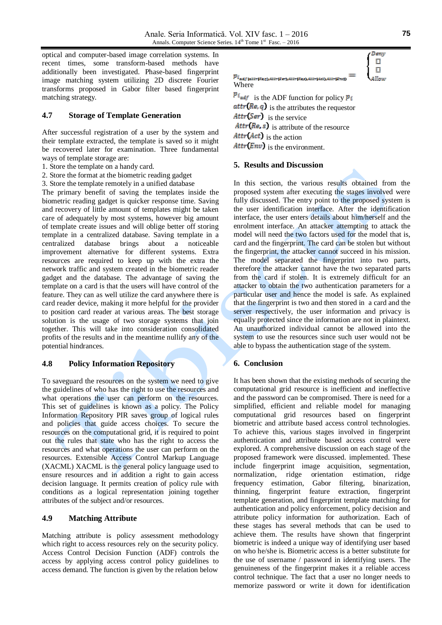optical and computer-based image correlation systems. In recent times, some transform-based methods have additionally been investigated. Phase-based fingerprint image matching system utilizing 2D discrete Fourier transforms proposed in Gabor filter based fingerprint matching strategy.

## **4.7 Storage of Template Generation**

After successful registration of a user by the system and their template extracted, the template is saved so it might be recovered later for examination. Three fundamental ways of template storage are:

- 1. Store the template on a handy card.
- 2. Store the format at the biometric reading gadget
- 3. Store the template remotely in a unified database

The primary benefit of saving the templates inside the biometric reading gadget is quicker response time. Saving and recovery of little amount of templates might be taken care of adequately by most systems, however big amount of template create issues and will oblige better off storing template in a centralized database. Saving template in a centralized database brings about a noticeable improvement alternative for different systems. Extra resources are required to keep up with the extra the network traffic and system created in the biometric reader gadget and the database. The advantage of saving the template on a card is that the users will have control of the feature. They can as well utilize the card anywhere there is card reader device, making it more helpful for the provider to position card reader at various areas. The best storage solution is the usage of two storage systems that join together. This will take into consideration consolidated profits of the results and in the meantime nullify any of the potential hindrances.

## **4.8 Policy Information Repository**

To saveguard the resources on the system we need to give the guidelines of who has the right to use the resources and what operations the user can perform on the resources. This set of guidelines is known as a policy. The Policy Information Repository PIR saves group of logical rules and policies that guide access choices. To secure the resources on the computational grid, it is required to point out the rules that state who has the right to access the resources and what operations the user can perform on the resources. Extensible Access Control Markup Language (XACML) XACML is the general policy language used to ensure resources and in addition a right to gain access decision language. It permits creation of policy rule with conditions as a logical representation joining together attributes of the subject and/or resources.

## **4.9 Matching Attribute**

Matching attribute is policy assessment methodology which right to access resources rely on the security policy. Access Control Decision Function (ADF) controls the access by applying access control policy guidelines to access demand. The function is given by the relation below

$$
p_{i_{\text{adj}(1)}} = \begin{cases} \n\frac{D \exp}{\Box} \\ \n\frac{D \exp}{\Box} \\ \n\frac{D \exp}{\Box} \n\end{cases}
$$
\nwhere

 $p_{i_{\text{and}}f}$  is the ADF function for policy  $p_i$  $attr(Re, q)$  is the attributes the requestor  $Attr(Ser)$  is the service  $Attr(Re, s)$  is attribute of the resource  $Attr(Act)$  is the action  $Attr(\textit{Env})$  is the environment.

## **5. Results and Discussion**

In this section, the various results obtained from the proposed system after executing the stages involved were fully discussed. The entry point to the proposed system is the user identification interface. After the identification interface, the user enters details about him/herself and the enrolment interface. An attacker attempting to attack the model will need the two factors used for the model that is, card and the fingerprint. The card can be stolen but without the fingerprint, the attacker cannot succeed in his mission. The model separated the fingerprint into two parts, therefore the attacker cannot have the two separated parts from the card if stolen. It is extremely difficult for an attacker to obtain the two authentication parameters for a particular user and hence the model is safe. As explained that the fingerprint is two and then stored in a card and the server respectively, the user information and privacy is equally protected since the information are not in plaintext. An unauthorized individual cannot be allowed into the system to use the resources since such user would not be able to bypass the authentication stage of the system.

## **6. Conclusion**

It has been shown that the existing methods of securing the computational grid resource is inefficient and ineffective and the password can be compromised. There is need for a simplified, efficient and reliable model for managing computational grid resources based on fingerprint biometric and attribute based access control technologies. To achieve this, various stages involved in fingerprint authentication and attribute based access control were explored. A comprehensive discussion on each stage of the proposed framework were discussed. implemented. These include fingerprint image acquisition, segmentation, normalization, ridge orientation estimation, ridge frequency estimation, Gabor filtering, binarization, thinning, fingerprint feature extraction, fingerprint template generation, and fingerprint template matching for authentication and policy enforcement, policy decision and attribute policy information for authorization. Each of these stages has several methods that can be used to achieve them. The results have shown that fingerprint biometric is indeed a unique way of identifying user based on who he/she is. Biometric access is a better substitute for the use of username / password in identifying users. The genuineness of the fingerprint makes it a reliable access control technique. The fact that a user no longer needs to memorize password or write it down for identification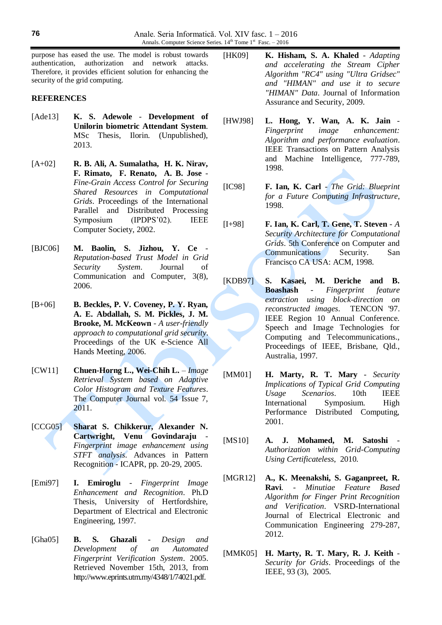purpose has eased the use. The model is robust towards authentication, authorization and network attacks. Therefore, it provides efficient solution for enhancing the security of the grid computing.

## **REFERENCES**

- [Ade13] **K. S. Adewole Development of Unilorin biometric Attendant System**. MSc Thesis, Ilorin. (Unpublished), 2013.
- [A+02] **R. B. Ali, A. Sumalatha, H. K. Nirav, F. Rimato, F. Renato, A. B. Jose** - *Fine-Grain Access Control for Securing Shared Resources in Computational Grids*. Proceedings of the International Parallel and Distributed Processing Symposium (IPDPS'02). IEEE Computer Society, 2002.
- [BJC06] **M. Baolin, S. Jizhou, Y. Ce** *Reputation-based Trust Model in Grid Security System*. Journal of Communication and Computer, 3(8), 2006.
- [B+06] **B. Beckles, P. V. Coveney, P. Y. Ryan, A. E. Abdallah, S. M. Pickles, J. M. Brooke, M. McKeown** - *A user-friendly approach to computational grid security*. Proceedings of the UK e-Science All Hands Meeting, 2006.
- [CW11] **Chuen-Horng L., Wei-Chih L.** *Image Retrieval System based on Adaptive Color Histogram and Texture Features*. The Computer Journal vol. 54 Issue 7, 2011.
- [CCG05] **Sharat S. Chikkerur, Alexander N. Cartwright, Venu Govindaraju** - *Fingerprint image enhancement using STFT analysis*. Advances in Pattern Recognition - ICAPR, pp. 20-29, 2005.
- [Emi97] **I. Emiroglu** *Fingerprint Image Enhancement and Recognition*. Ph.D Thesis, University of Hertfordshire, Department of Electrical and Electronic Engineering, 1997.
- [Gha05] **B. S. Ghazali** *Design and Development of an Automated Fingerprint Verification System*. 2005. Retrieved November 15th, 2013, from http://www.eprints.utm.my/4348/1/74021.pdf.
- [HK09] **K. Hisham, S. A. Khaled** *Adapting and accelerating the Stream Cipher Algorithm "RC4" using "Ultra Gridsec" and "HIMAN" and use it to secure "HIMAN" Data*. Journal of Information Assurance and Security, 2009.
- [HWJ98] **L. Hong, Y. Wan, A. K. Jain** *Fingerprint image enhancement: Algorithm and performance evaluation*. IEEE Transactions on Pattern Analysis and Machine Intelligence, 777-789, 1998.
- [IC98] **F. Ian, K. Carl** *The Grid: Blueprint for a Future Computing Infrastructure*, 1998.
- [I+98] **F. Ian, K. Carl, T. Gene, T. Steven** *A Security Architecture for Computational Grids*. 5th Conference on Computer and Communications Security. San Francisco CA USA: ACM, 1998.
- [KDB97] **S. Kasaei, M. Deriche and B. Boashash** - *Fingerprint feature extraction using block-direction on reconstructed images*. TENCON '97. IEEE Region 10 Annual Conference. Speech and Image Technologies for Computing and Telecommunications., Proceedings of IEEE, Brisbane, Qld., Australia, 1997.
- [MM01] **H. Marty, R. T. Mary** *Security Implications of Typical Grid Computing Usage Scenarios*. 10th IEEE International Symposium. High Performance Distributed Computing, 2001.
- [MS10] **A. J. Mohamed, M. Satoshi** *Authorization within Grid-Computing Using Certificateless*, 2010.
- [MGR12] **A., K. Meenakshi, S. Gaganpreet, R. Ravi**. - *Minutiae Feature Based Algorithm for Finger Print Recognition and Verification*. VSRD-International Journal of Electrical Electronic and Communication Engineering 279-287, 2012.
- [MMK05] **H. Marty, R. T. Mary, R. J. Keith** *Security for Grids*. Proceedings of the IEEE, 93 (3), 2005.